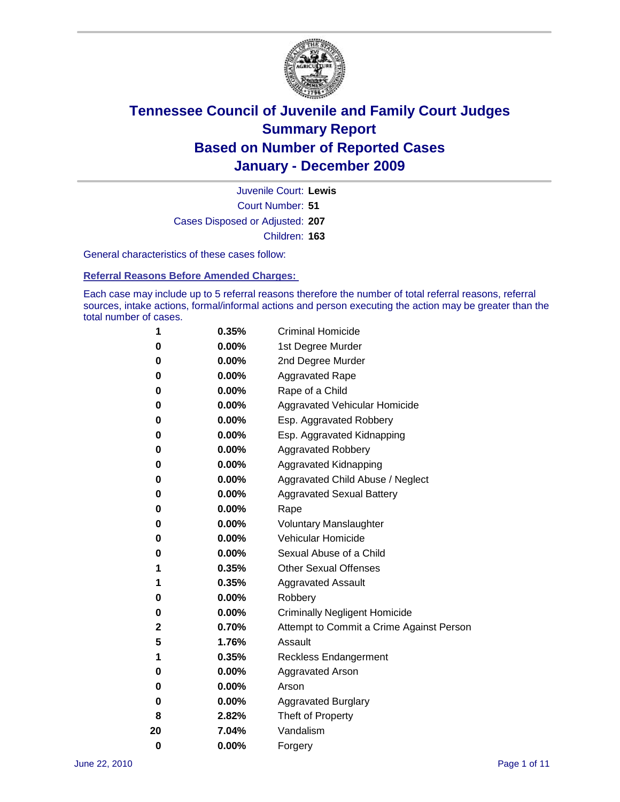

Court Number: **51** Juvenile Court: **Lewis** Cases Disposed or Adjusted: **207** Children: **163**

General characteristics of these cases follow:

**Referral Reasons Before Amended Charges:** 

Each case may include up to 5 referral reasons therefore the number of total referral reasons, referral sources, intake actions, formal/informal actions and person executing the action may be greater than the total number of cases.

| 1  | 0.35%    | <b>Criminal Homicide</b>                 |
|----|----------|------------------------------------------|
| 0  | 0.00%    | 1st Degree Murder                        |
| 0  | 0.00%    | 2nd Degree Murder                        |
| 0  | 0.00%    | <b>Aggravated Rape</b>                   |
| 0  | 0.00%    | Rape of a Child                          |
| 0  | 0.00%    | Aggravated Vehicular Homicide            |
| 0  | 0.00%    | Esp. Aggravated Robbery                  |
| 0  | 0.00%    | Esp. Aggravated Kidnapping               |
| 0  | 0.00%    | <b>Aggravated Robbery</b>                |
| 0  | 0.00%    | Aggravated Kidnapping                    |
| 0  | 0.00%    | Aggravated Child Abuse / Neglect         |
| 0  | $0.00\%$ | <b>Aggravated Sexual Battery</b>         |
| 0  | 0.00%    | Rape                                     |
| 0  | $0.00\%$ | <b>Voluntary Manslaughter</b>            |
| 0  | 0.00%    | Vehicular Homicide                       |
| 0  | 0.00%    | Sexual Abuse of a Child                  |
| 1  | 0.35%    | <b>Other Sexual Offenses</b>             |
| 1  | 0.35%    | <b>Aggravated Assault</b>                |
| 0  | $0.00\%$ | Robbery                                  |
| 0  | 0.00%    | <b>Criminally Negligent Homicide</b>     |
| 2  | 0.70%    | Attempt to Commit a Crime Against Person |
| 5  | 1.76%    | Assault                                  |
| 1  | 0.35%    | <b>Reckless Endangerment</b>             |
| 0  | 0.00%    | <b>Aggravated Arson</b>                  |
| 0  | 0.00%    | Arson                                    |
| 0  | 0.00%    | <b>Aggravated Burglary</b>               |
| 8  | 2.82%    | Theft of Property                        |
| 20 | 7.04%    | Vandalism                                |
| 0  | 0.00%    | Forgery                                  |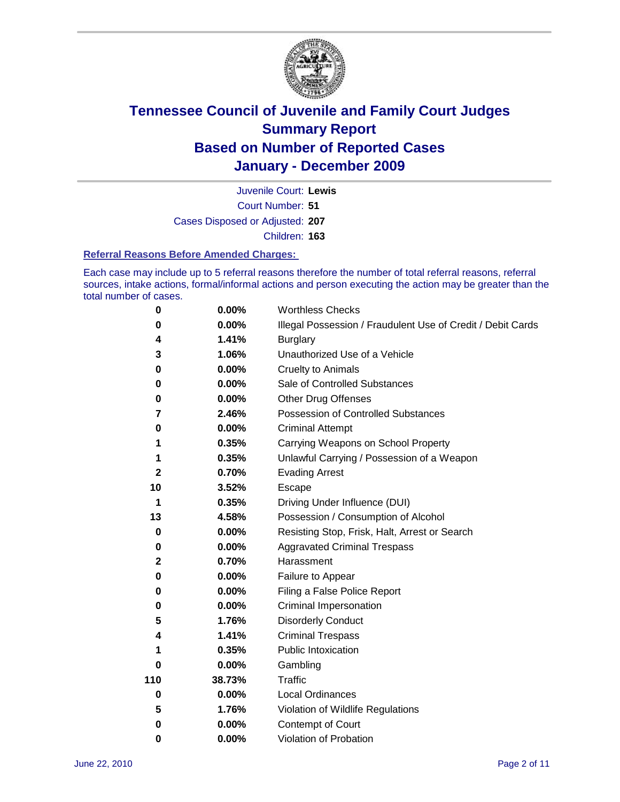

Court Number: **51** Juvenile Court: **Lewis** Cases Disposed or Adjusted: **207**

Children: **163**

#### **Referral Reasons Before Amended Charges:**

Each case may include up to 5 referral reasons therefore the number of total referral reasons, referral sources, intake actions, formal/informal actions and person executing the action may be greater than the total number of cases.

| $\pmb{0}$ | 0.00%    | <b>Worthless Checks</b>                                     |
|-----------|----------|-------------------------------------------------------------|
| 0         | 0.00%    | Illegal Possession / Fraudulent Use of Credit / Debit Cards |
| 4         | 1.41%    | <b>Burglary</b>                                             |
| 3         | 1.06%    | Unauthorized Use of a Vehicle                               |
| 0         | $0.00\%$ | <b>Cruelty to Animals</b>                                   |
| 0         | 0.00%    | Sale of Controlled Substances                               |
| 0         | $0.00\%$ | <b>Other Drug Offenses</b>                                  |
| 7         | 2.46%    | Possession of Controlled Substances                         |
| 0         | $0.00\%$ | <b>Criminal Attempt</b>                                     |
| 1         | 0.35%    | Carrying Weapons on School Property                         |
| 1         | 0.35%    | Unlawful Carrying / Possession of a Weapon                  |
| 2         | 0.70%    | <b>Evading Arrest</b>                                       |
| 10        | 3.52%    | Escape                                                      |
| 1         | 0.35%    | Driving Under Influence (DUI)                               |
| 13        | 4.58%    | Possession / Consumption of Alcohol                         |
| 0         | 0.00%    | Resisting Stop, Frisk, Halt, Arrest or Search               |
| 0         | $0.00\%$ | <b>Aggravated Criminal Trespass</b>                         |
| 2         | 0.70%    | Harassment                                                  |
| 0         | 0.00%    | Failure to Appear                                           |
| 0         | $0.00\%$ | Filing a False Police Report                                |
| 0         | 0.00%    | Criminal Impersonation                                      |
| 5         | 1.76%    | <b>Disorderly Conduct</b>                                   |
| 4         | 1.41%    | <b>Criminal Trespass</b>                                    |
| 1         | 0.35%    | Public Intoxication                                         |
| 0         | $0.00\%$ | Gambling                                                    |
| 110       | 38.73%   | <b>Traffic</b>                                              |
| 0         | $0.00\%$ | <b>Local Ordinances</b>                                     |
| 5         | 1.76%    | Violation of Wildlife Regulations                           |
| 0         | $0.00\%$ | Contempt of Court                                           |
| 0         | 0.00%    | Violation of Probation                                      |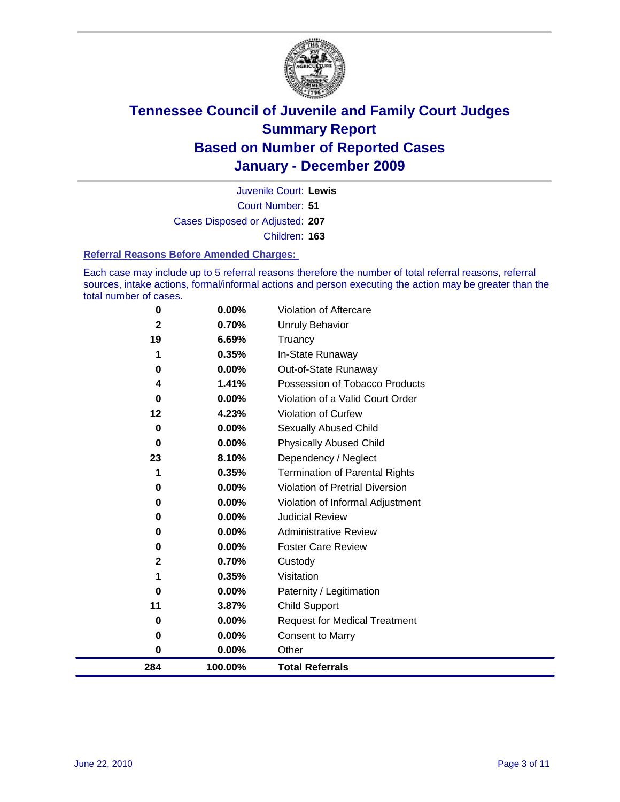

Court Number: **51** Juvenile Court: **Lewis** Cases Disposed or Adjusted: **207** Children: **163**

#### **Referral Reasons Before Amended Charges:**

Each case may include up to 5 referral reasons therefore the number of total referral reasons, referral sources, intake actions, formal/informal actions and person executing the action may be greater than the total number of cases.

| 284         | 100.00%  | <b>Total Referrals</b>                 |
|-------------|----------|----------------------------------------|
| $\bf{0}$    | 0.00%    | Other                                  |
| $\bf{0}$    | 0.00%    | <b>Consent to Marry</b>                |
| 0           | 0.00%    | <b>Request for Medical Treatment</b>   |
| 11          | 3.87%    | <b>Child Support</b>                   |
| $\bf{0}$    | 0.00%    | Paternity / Legitimation               |
| 1           | 0.35%    | Visitation                             |
| $\mathbf 2$ | 0.70%    | Custody                                |
| 0           | 0.00%    | <b>Foster Care Review</b>              |
| 0           | $0.00\%$ | <b>Administrative Review</b>           |
| $\bf{0}$    | $0.00\%$ | <b>Judicial Review</b>                 |
| 0           | 0.00%    | Violation of Informal Adjustment       |
| $\bf{0}$    | $0.00\%$ | <b>Violation of Pretrial Diversion</b> |
|             | 0.35%    | Termination of Parental Rights         |
| 23          | 8.10%    | Dependency / Neglect                   |
| $\bf{0}$    | $0.00\%$ | <b>Physically Abused Child</b>         |
| $\bf{0}$    | 0.00%    | Sexually Abused Child                  |
| 12          | 4.23%    | Violation of Curfew                    |
| $\bf{0}$    | $0.00\%$ | Violation of a Valid Court Order       |
| 4           | 1.41%    | Possession of Tobacco Products         |
| 0           | $0.00\%$ | Out-of-State Runaway                   |
|             | 0.35%    | In-State Runaway                       |
| 19          | 6.69%    | Truancy                                |
| 2           | 0.70%    | <b>Unruly Behavior</b>                 |
| $\mathbf 0$ | 0.00%    | Violation of Aftercare                 |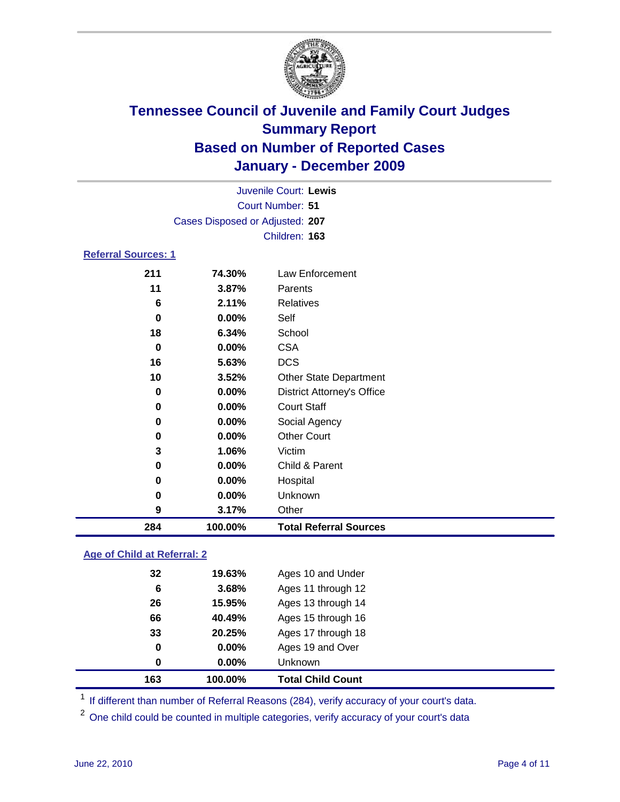

| 284                        | 100.00%                         | <b>Total Referral Sources</b>     |  |
|----------------------------|---------------------------------|-----------------------------------|--|
| 9                          | 3.17%                           | Other                             |  |
| $\bf{0}$                   | 0.00%                           | Unknown                           |  |
| 0                          | 0.00%                           | Hospital                          |  |
| 0                          | 0.00%                           | Child & Parent                    |  |
| 3                          | 1.06%                           | Victim                            |  |
| 0                          | 0.00%                           | <b>Other Court</b>                |  |
| 0                          | 0.00%                           | Social Agency                     |  |
| 0                          | 0.00%                           | <b>Court Staff</b>                |  |
| $\bf{0}$                   | 0.00%                           | <b>District Attorney's Office</b> |  |
| 10                         | 3.52%                           | <b>Other State Department</b>     |  |
| 16                         | 5.63%                           | <b>DCS</b>                        |  |
| $\bf{0}$                   | 0.00%                           | <b>CSA</b>                        |  |
| 18                         | 6.34%                           | School                            |  |
| 0                          | 0.00%                           | Self                              |  |
| 6                          | 2.11%                           | <b>Relatives</b>                  |  |
| 11                         | 3.87%                           | Parents                           |  |
| 211                        | 74.30%                          | Law Enforcement                   |  |
| <b>Referral Sources: 1</b> |                                 |                                   |  |
|                            |                                 | Children: 163                     |  |
|                            | Cases Disposed or Adjusted: 207 |                                   |  |
|                            |                                 | Court Number: 51                  |  |
|                            |                                 |                                   |  |
|                            |                                 | Juvenile Court: Lewis             |  |

### **Age of Child at Referral: 2**

| 163 | 100.00% | <b>Total Child Count</b> |  |
|-----|---------|--------------------------|--|
| 0   | 0.00%   | Unknown                  |  |
| 0   | 0.00%   | Ages 19 and Over         |  |
| 33  | 20.25%  | Ages 17 through 18       |  |
| 66  | 40.49%  | Ages 15 through 16       |  |
| 26  | 15.95%  | Ages 13 through 14       |  |
| 6   | 3.68%   | Ages 11 through 12       |  |
| 32  | 19.63%  | Ages 10 and Under        |  |
|     |         |                          |  |

<sup>1</sup> If different than number of Referral Reasons (284), verify accuracy of your court's data.

<sup>2</sup> One child could be counted in multiple categories, verify accuracy of your court's data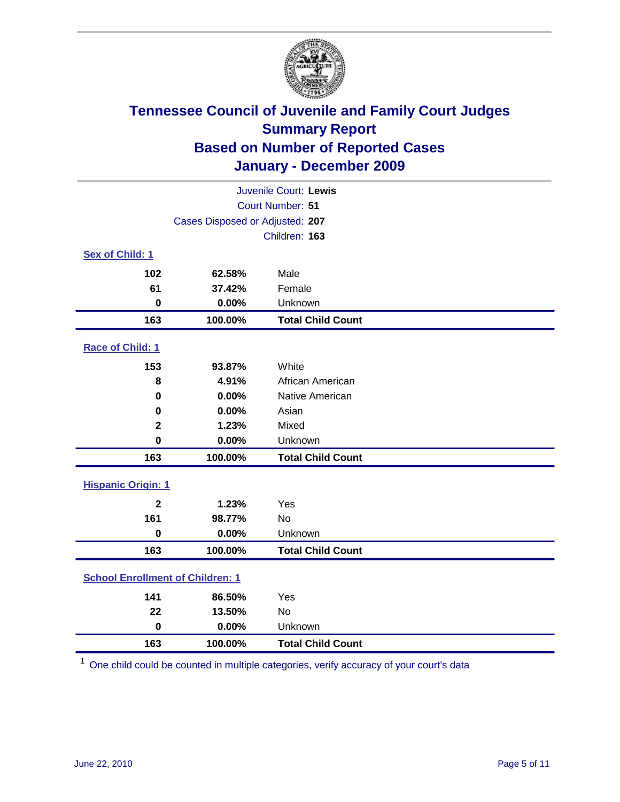

| Juvenile Court: Lewis                   |                                 |                          |  |  |  |
|-----------------------------------------|---------------------------------|--------------------------|--|--|--|
| Court Number: 51                        |                                 |                          |  |  |  |
|                                         | Cases Disposed or Adjusted: 207 |                          |  |  |  |
|                                         |                                 | Children: 163            |  |  |  |
| Sex of Child: 1                         |                                 |                          |  |  |  |
| 102                                     | 62.58%                          | Male                     |  |  |  |
| 61                                      | 37.42%                          | Female                   |  |  |  |
| $\mathbf 0$                             | 0.00%                           | Unknown                  |  |  |  |
| 163                                     | 100.00%                         | <b>Total Child Count</b> |  |  |  |
| Race of Child: 1                        |                                 |                          |  |  |  |
| 153                                     | 93.87%                          | White                    |  |  |  |
| 8                                       | 4.91%                           | African American         |  |  |  |
| 0                                       | 0.00%                           | Native American          |  |  |  |
| $\mathbf 0$                             | 0.00%                           | Asian                    |  |  |  |
| $\mathbf 2$                             | 1.23%                           | Mixed                    |  |  |  |
| $\mathbf 0$                             | 0.00%                           | Unknown                  |  |  |  |
| 163                                     | 100.00%                         | <b>Total Child Count</b> |  |  |  |
| <b>Hispanic Origin: 1</b>               |                                 |                          |  |  |  |
| $\overline{2}$                          | 1.23%                           | Yes                      |  |  |  |
| 161                                     | 98.77%                          | <b>No</b>                |  |  |  |
| $\mathbf 0$                             | 0.00%                           | Unknown                  |  |  |  |
| 163                                     | 100.00%                         | <b>Total Child Count</b> |  |  |  |
| <b>School Enrollment of Children: 1</b> |                                 |                          |  |  |  |
| 141                                     | 86.50%                          | Yes                      |  |  |  |
| 22                                      | 13.50%                          | No                       |  |  |  |
| $\mathbf 0$                             | 0.00%                           | Unknown                  |  |  |  |
| 163                                     | 100.00%                         | <b>Total Child Count</b> |  |  |  |

One child could be counted in multiple categories, verify accuracy of your court's data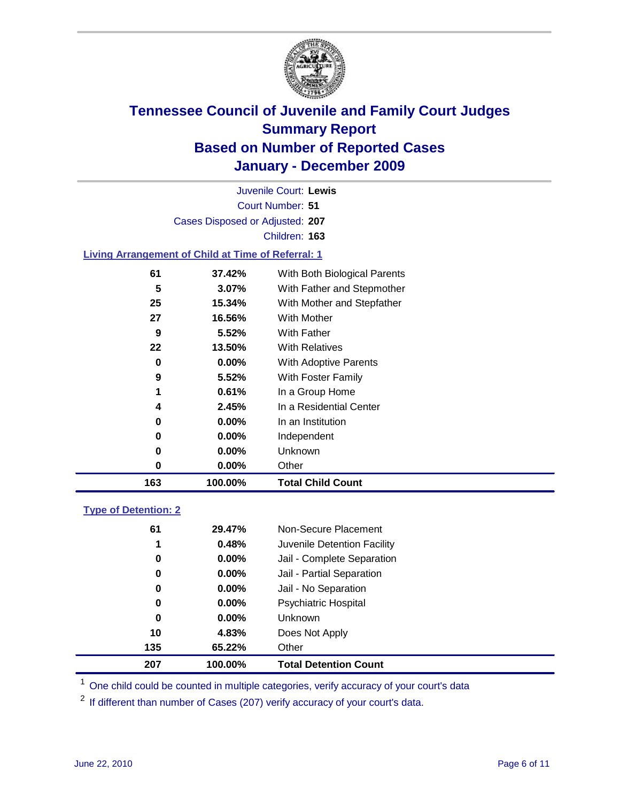

Court Number: **51** Juvenile Court: **Lewis** Cases Disposed or Adjusted: **207** Children: **163**

#### **Living Arrangement of Child at Time of Referral: 1**

| 0  | $0.00\%$ | Other                        |
|----|----------|------------------------------|
| 0  | 0.00%    | Unknown                      |
| 0  | $0.00\%$ | Independent                  |
| 0  | $0.00\%$ | In an Institution            |
| 4  | 2.45%    | In a Residential Center      |
| 1  | 0.61%    | In a Group Home              |
| 9  | 5.52%    | With Foster Family           |
| 0  | $0.00\%$ | With Adoptive Parents        |
| 22 | 13.50%   | <b>With Relatives</b>        |
| 9  | 5.52%    | With Father                  |
| 27 | 16.56%   | With Mother                  |
| 25 | 15.34%   | With Mother and Stepfather   |
| 5  | 3.07%    | With Father and Stepmother   |
| 61 | 37.42%   | With Both Biological Parents |
|    |          |                              |

### **Type of Detention: 2**

| 207 | 100.00%       | <b>Total Detention Count</b> |
|-----|---------------|------------------------------|
| 135 | 65.22%        | Other                        |
| 10  | 4.83%         | Does Not Apply               |
|     | 0<br>$0.00\%$ | <b>Unknown</b>               |
|     | 0<br>$0.00\%$ | Psychiatric Hospital         |
|     | 0.00%<br>0    | Jail - No Separation         |
|     | 0<br>$0.00\%$ | Jail - Partial Separation    |
|     | $0.00\%$<br>0 | Jail - Complete Separation   |
|     | 0.48%<br>1    | Juvenile Detention Facility  |
| 61  | 29.47%        | Non-Secure Placement         |
|     |               |                              |

<sup>1</sup> One child could be counted in multiple categories, verify accuracy of your court's data

<sup>2</sup> If different than number of Cases (207) verify accuracy of your court's data.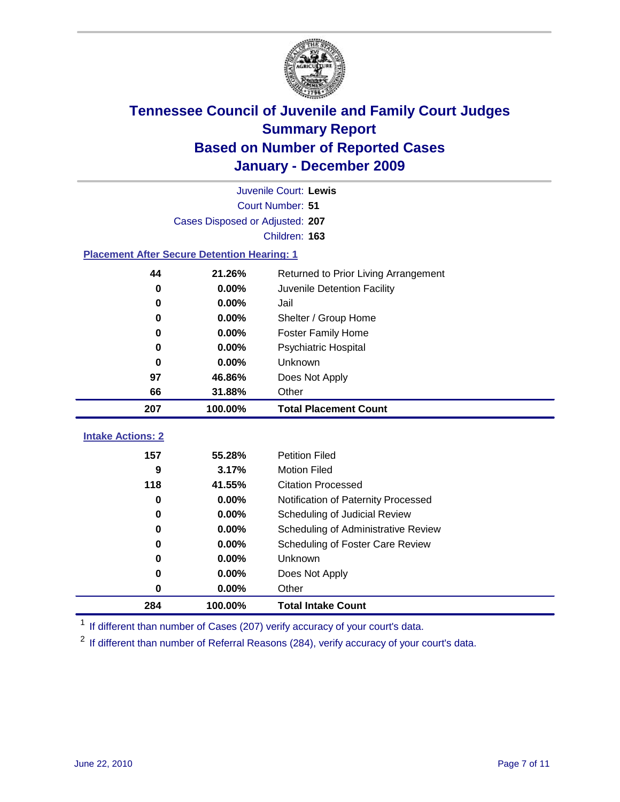

|                                                    | Juvenile Court: Lewis                          |                                                  |  |  |  |
|----------------------------------------------------|------------------------------------------------|--------------------------------------------------|--|--|--|
|                                                    | Court Number: 51                               |                                                  |  |  |  |
|                                                    | Cases Disposed or Adjusted: 207                |                                                  |  |  |  |
|                                                    |                                                | Children: 163                                    |  |  |  |
| <b>Placement After Secure Detention Hearing: 1</b> |                                                |                                                  |  |  |  |
| 44                                                 | 21.26%<br>Returned to Prior Living Arrangement |                                                  |  |  |  |
| 0                                                  | 0.00%                                          | Juvenile Detention Facility                      |  |  |  |
| 0                                                  | 0.00%                                          | Jail                                             |  |  |  |
| $\bf{0}$                                           | 0.00%                                          | Shelter / Group Home                             |  |  |  |
| 0                                                  | 0.00%                                          | <b>Foster Family Home</b>                        |  |  |  |
| 0                                                  | 0.00%                                          | Psychiatric Hospital                             |  |  |  |
| 0                                                  | 0.00%                                          | Unknown                                          |  |  |  |
| 97                                                 | 46.86%                                         | Does Not Apply                                   |  |  |  |
| 66                                                 | 31.88%                                         | Other                                            |  |  |  |
| 207                                                | 100.00%                                        | <b>Total Placement Count</b>                     |  |  |  |
|                                                    |                                                |                                                  |  |  |  |
|                                                    |                                                |                                                  |  |  |  |
| <b>Intake Actions: 2</b>                           |                                                |                                                  |  |  |  |
| 157                                                | 55.28%                                         | <b>Petition Filed</b>                            |  |  |  |
| 9<br>118                                           | 3.17%<br>41.55%                                | <b>Motion Filed</b><br><b>Citation Processed</b> |  |  |  |
| 0                                                  | 0.00%                                          | Notification of Paternity Processed              |  |  |  |
| $\bf{0}$                                           | 0.00%                                          | Scheduling of Judicial Review                    |  |  |  |
| 0                                                  | 0.00%                                          | Scheduling of Administrative Review              |  |  |  |
| 0                                                  | 0.00%                                          | Scheduling of Foster Care Review                 |  |  |  |
| 0                                                  | 0.00%                                          | Unknown                                          |  |  |  |
| 0                                                  | 0.00%                                          | Does Not Apply                                   |  |  |  |
| $\pmb{0}$                                          | 0.00%                                          | Other                                            |  |  |  |

<sup>1</sup> If different than number of Cases (207) verify accuracy of your court's data.

<sup>2</sup> If different than number of Referral Reasons (284), verify accuracy of your court's data.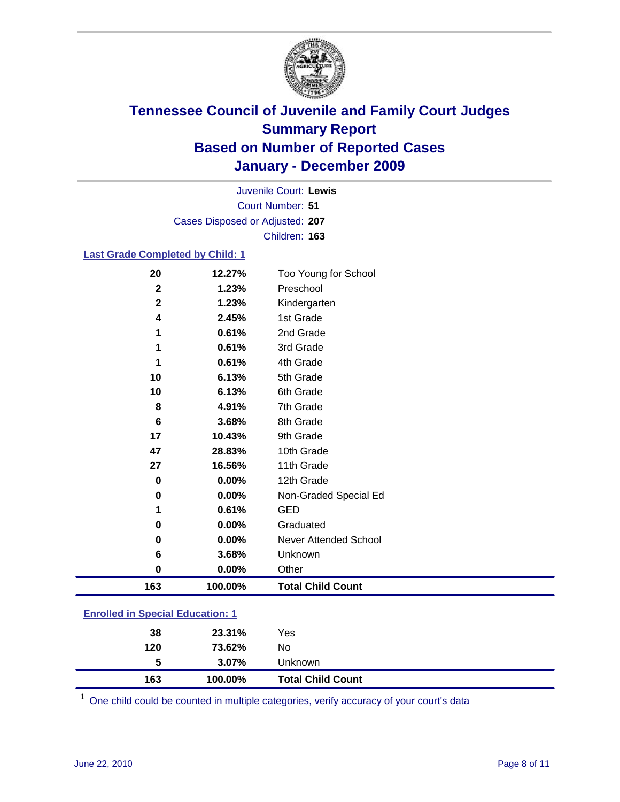

Court Number: **51** Juvenile Court: **Lewis** Cases Disposed or Adjusted: **207** Children: **163**

#### **Last Grade Completed by Child: 1**

| 20                                      | 12.27%   | Too Young for School         |  |  |
|-----------------------------------------|----------|------------------------------|--|--|
| $\mathbf 2$                             | 1.23%    | Preschool                    |  |  |
| $\mathbf 2$                             | 1.23%    | Kindergarten                 |  |  |
| 4                                       | 2.45%    | 1st Grade                    |  |  |
| 1                                       | 0.61%    | 2nd Grade                    |  |  |
| 1                                       | 0.61%    | 3rd Grade                    |  |  |
| 1                                       | 0.61%    | 4th Grade                    |  |  |
| 10                                      | 6.13%    | 5th Grade                    |  |  |
| 10                                      | 6.13%    | 6th Grade                    |  |  |
| 8                                       | 4.91%    | 7th Grade                    |  |  |
| 6                                       | 3.68%    | 8th Grade                    |  |  |
| 17                                      | 10.43%   | 9th Grade                    |  |  |
| 47                                      | 28.83%   | 10th Grade                   |  |  |
| 27                                      | 16.56%   | 11th Grade                   |  |  |
| $\bf{0}$                                | 0.00%    | 12th Grade                   |  |  |
| 0                                       | $0.00\%$ | Non-Graded Special Ed        |  |  |
| 1                                       | 0.61%    | <b>GED</b>                   |  |  |
| 0                                       | 0.00%    | Graduated                    |  |  |
| 0                                       | 0.00%    | <b>Never Attended School</b> |  |  |
| 6                                       | 3.68%    | Unknown                      |  |  |
| $\mathbf 0$                             | 0.00%    | Other                        |  |  |
| 163                                     | 100.00%  | <b>Total Child Count</b>     |  |  |
| <b>Enrolled in Special Education: 1</b> |          |                              |  |  |
|                                         |          |                              |  |  |

| 38<br>120 | 23.31%<br>73.62% | Yes<br>No                |  |
|-----------|------------------|--------------------------|--|
| 5         | $3.07\%$         | Unknown                  |  |
| 163       | 100.00%          | <b>Total Child Count</b> |  |

One child could be counted in multiple categories, verify accuracy of your court's data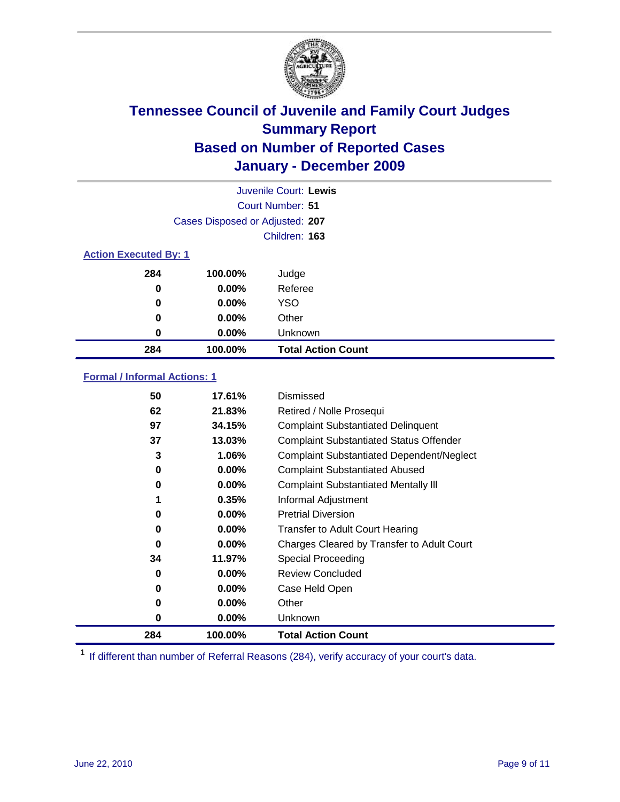

|                              | Juvenile Court: Lewis           |                           |  |  |  |
|------------------------------|---------------------------------|---------------------------|--|--|--|
|                              | Court Number: 51                |                           |  |  |  |
|                              | Cases Disposed or Adjusted: 207 |                           |  |  |  |
|                              |                                 | Children: 163             |  |  |  |
| <b>Action Executed By: 1</b> |                                 |                           |  |  |  |
| 284                          | 100.00%                         | Judge                     |  |  |  |
| 0                            | $0.00\%$                        | Referee                   |  |  |  |
| 0                            | $0.00\%$                        | <b>YSO</b>                |  |  |  |
| 0                            | 0.00%                           | Other                     |  |  |  |
| 0                            | 0.00%                           | Unknown                   |  |  |  |
| 284                          | 100.00%                         | <b>Total Action Count</b> |  |  |  |

### **Formal / Informal Actions: 1**

| 50  | 17.61%   | Dismissed                                        |
|-----|----------|--------------------------------------------------|
| 62  | 21.83%   | Retired / Nolle Prosequi                         |
| 97  | 34.15%   | <b>Complaint Substantiated Delinquent</b>        |
| 37  | 13.03%   | <b>Complaint Substantiated Status Offender</b>   |
| 3   | 1.06%    | <b>Complaint Substantiated Dependent/Neglect</b> |
| 0   | $0.00\%$ | <b>Complaint Substantiated Abused</b>            |
| 0   | $0.00\%$ | <b>Complaint Substantiated Mentally III</b>      |
|     | 0.35%    | Informal Adjustment                              |
| 0   | $0.00\%$ | <b>Pretrial Diversion</b>                        |
| 0   | $0.00\%$ | <b>Transfer to Adult Court Hearing</b>           |
| 0   | $0.00\%$ | Charges Cleared by Transfer to Adult Court       |
| 34  | 11.97%   | Special Proceeding                               |
| 0   | 0.00%    | <b>Review Concluded</b>                          |
| 0   | $0.00\%$ | Case Held Open                                   |
| 0   | $0.00\%$ | Other                                            |
| 0   | $0.00\%$ | <b>Unknown</b>                                   |
| 284 | 100.00%  | <b>Total Action Count</b>                        |

<sup>1</sup> If different than number of Referral Reasons (284), verify accuracy of your court's data.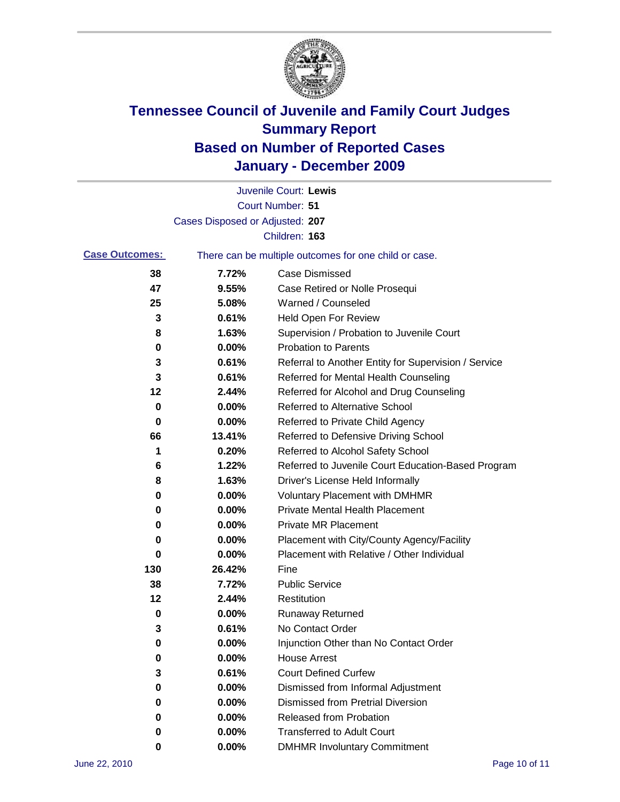

|                       |                                 | Juvenile Court: Lewis                                 |
|-----------------------|---------------------------------|-------------------------------------------------------|
|                       |                                 | <b>Court Number: 51</b>                               |
|                       | Cases Disposed or Adjusted: 207 |                                                       |
|                       |                                 | Children: 163                                         |
| <b>Case Outcomes:</b> |                                 | There can be multiple outcomes for one child or case. |
| 38                    | 7.72%                           | <b>Case Dismissed</b>                                 |
| 47                    | 9.55%                           | Case Retired or Nolle Prosequi                        |
| 25                    | 5.08%                           | Warned / Counseled                                    |
| 3                     | 0.61%                           | Held Open For Review                                  |
| 8                     | 1.63%                           | Supervision / Probation to Juvenile Court             |
| 0                     | 0.00%                           | <b>Probation to Parents</b>                           |
| 3                     | 0.61%                           | Referral to Another Entity for Supervision / Service  |
| 3                     | 0.61%                           | Referred for Mental Health Counseling                 |
| 12                    | 2.44%                           | Referred for Alcohol and Drug Counseling              |
| 0                     | 0.00%                           | <b>Referred to Alternative School</b>                 |
| $\bf{0}$              | 0.00%                           | Referred to Private Child Agency                      |
| 66                    | 13.41%                          | Referred to Defensive Driving School                  |
| 1                     | 0.20%                           | Referred to Alcohol Safety School                     |
| 6                     | 1.22%                           | Referred to Juvenile Court Education-Based Program    |
| 8                     | 1.63%                           | Driver's License Held Informally                      |
| 0                     | 0.00%                           | <b>Voluntary Placement with DMHMR</b>                 |
| 0                     | 0.00%                           | Private Mental Health Placement                       |
| 0                     | 0.00%                           | <b>Private MR Placement</b>                           |
| 0                     | 0.00%                           | Placement with City/County Agency/Facility            |
| 0                     | 0.00%                           | Placement with Relative / Other Individual            |
| 130                   | 26.42%                          | Fine                                                  |
| 38                    | 7.72%                           | <b>Public Service</b>                                 |
| 12                    | 2.44%                           | Restitution                                           |
| 0                     | 0.00%                           | <b>Runaway Returned</b>                               |
| 3                     | 0.61%                           | No Contact Order                                      |
| 0                     | 0.00%                           | Injunction Other than No Contact Order                |
| 0                     | 0.00%                           | <b>House Arrest</b>                                   |
| 3                     | 0.61%                           | <b>Court Defined Curfew</b>                           |
| 0                     | $0.00\%$                        | Dismissed from Informal Adjustment                    |
| 0                     | $0.00\%$                        | <b>Dismissed from Pretrial Diversion</b>              |
| 0                     | 0.00%                           | Released from Probation                               |
| 0                     | 0.00%                           | <b>Transferred to Adult Court</b>                     |
| 0                     | 0.00%                           | <b>DMHMR Involuntary Commitment</b>                   |